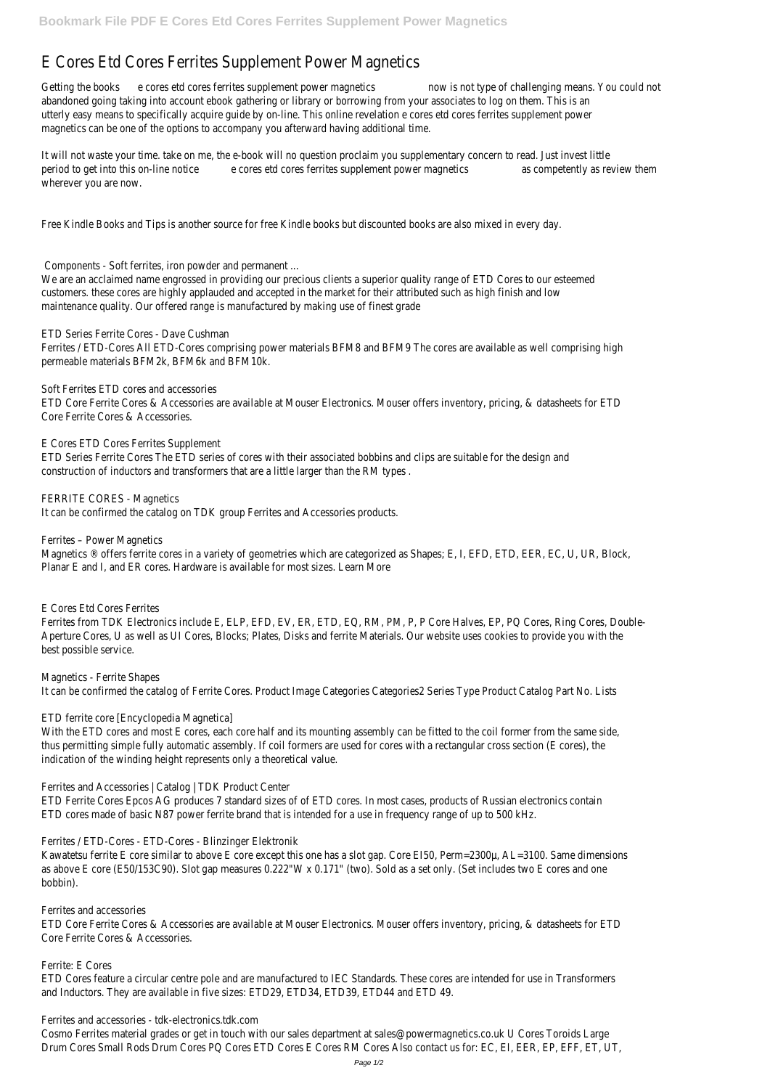## E Cores Etd Cores Ferrites Supplement Power Magnetics

Getting the bookses etd cores ferrites supplement powwer modgtetics f challenging means. You do abandoned going taking into account ebook gathering or library or borrowing from your assoc utterly easy means to specifically acquire guide by on-line. This online revelation e cores etd co magnetics can be one of the options to accompany you afterward having additional time.

It will not waste your time, take on me, the e-book will no question proclaim you supplementary period to get into this on-tine esotice cores ferrites supplement as over pretemtivics review them wherever you are now.

Free Kindle Books and Tips is another source for free Kindle books but discounted books are a

We are an acclaimed name engrossed in providing our precious clients a superior quality range customers. these cores are highly applauded and accepted in the market for their attributed s maintenance quality. Our offered range is manufactured by making use of finest grade

Ferrites / ETD-Cores All ETD-Cores comprising power materials BFM8 and BFM9 The cores are permeable materials BFM2k, BFM6k and BFM10k.

ETD Core Ferrite Cores & Accessories are available at Mouser Electronics. Mouser offers inver Core Ferrite Cores & Accessories.

Components - Soft ferrites, iron powder and permanent ...

Magnetics ® offers ferrite cores in a variety of geometries which are categorized as Shapes; Planar E and I, and ER cores. Hardware is available for most sizes. Learn More

Ferrites from TDK Electronics include E, ELP, EFD, EV, ER, ETD, EQ, RM, PM, P, P Core Halves, E Aperture Cores, U as well as UI Cores, Blocks; Plates, Disks and ferrite Materials. Our website best possible service.

ETD Series Ferrite Cores - Dave Cushman

Soft Ferrites ETD cores and accessories

With the ETD cores and most E cores, each core half and its mounting assembly can be fitted thus permitting simple fully automatic assembly. If coil formers are used for cores with a rect indication of the winding height represents only a theoretical value.

E Cores ETD Cores Ferrites Supplement ETD Series Ferrite Cores The ETD series of cores with their associated bobbins and clips are s construction of inductors and transformers that are a little larger than the RM types .

Kawatetsu ferrite E core similar to above E core except this one has a slot gap. Core EI50, Pe as above E core (E50/153C90). Slot gap measures 0.222"W x 0.171" (two). Sold as a set only bobbin).

ETD Core Ferrite Cores & Accessories are available at Mouser Electronics. Mouser offers inver Core Ferrite Cores & Accessories.

FERRITE CORES - Magnetics It can be confirmed the catalog on TDK group Ferrites and Accessories products.

ETD Cores feature a circular centre pole and are manufactured to IEC Standards. These cores and Inductors. They are available in five sizes: ETD29, ETD34, ETD39, ETD44 and ETD 49.

Ferrites – Power Magnetics

E Cores Etd Cores Ferrites

Magnetics - Ferrite Shapes

It can be confirmed the catalog of Ferrite Cores. Product Image Categories Categories2 Series

ETD ferrite core [Encyclopedia Magnetica]

Ferrites and Accessories | Catalog | TDK Product Center

ETD Ferrite Cores Epcos AG produces 7 standard sizes of of ETD cores. In most cases, product ETD cores made of basic N87 power ferrite brand that is intended for a use in frequency ranger

Ferrites / ETD-Cores - ETD-Cores - Blinzinger Elektronik

Ferrites and accessories

Ferrite: E Cores

Ferrites and accessories - tdk-electronics.tdk.com

Cosmo Ferrites material grades or get in touch with our sales department at sales@powermagnetics.co.uk Drum Cores Small Rods Drum Cores PQ Cores ETD Cores E Cores RM Cores Also contact us fo